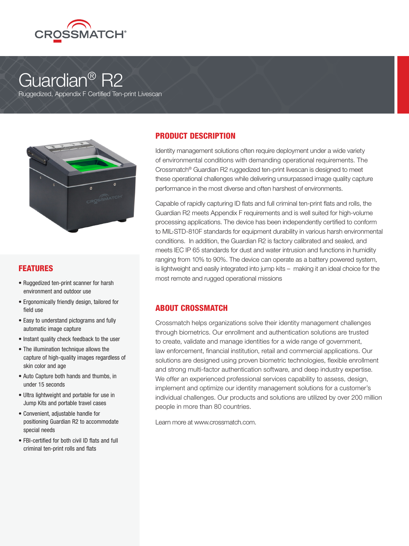

# Guardian<sup>®</sup> R2

Ruggedized, Appendix F Certified Ten-print Livescan



### FEATURES

- Ruggedized ten-print scanner for harsh environment and outdoor use
- Ergonomically friendly design, tailored for field use
- Easy to understand pictograms and fully automatic image capture
- Instant quality check feedback to the user
- The illumination technique allows the capture of high-quality images regardless of skin color and age
- Auto Capture both hands and thumbs, in under 15 seconds
- Ultra lightweight and portable for use in Jump Kits and portable travel cases
- Convenient, adjustable handle for positioning Guardian R2 to accommodate special needs
- FBI-certified for both civil ID flats and full criminal ten-print rolls and flats

### PRODUCT DESCRIPTION

Identity management solutions often require deployment under a wide variety of environmental conditions with demanding operational requirements. The Crossmatch® Guardian R2 ruggedized ten-print livescan is designed to meet these operational challenges while delivering unsurpassed image quality capture performance in the most diverse and often harshest of environments.

Capable of rapidly capturing ID flats and full criminal ten-print flats and rolls, the Guardian R2 meets Appendix F requirements and is well suited for high-volume processing applications. The device has been independently certified to conform to MIL-STD-810F standards for equipment durability in various harsh environmental conditions. In addition, the Guardian R2 is factory calibrated and sealed, and meets IEC IP 65 standards for dust and water intrusion and functions in humidity ranging from 10% to 90%. The device can operate as a battery powered system, is lightweight and easily integrated into jump kits – making it an ideal choice for the most remote and rugged operational missions

### ABOUT CROSSMATCH

Crossmatch helps organizations solve their identity management challenges through biometrics. Our enrollment and authentication solutions are trusted to create, validate and manage identities for a wide range of government, law enforcement, financial institution, retail and commercial applications. Our solutions are designed using proven biometric technologies, flexible enrollment and strong multi-factor authentication software, and deep industry expertise. We offer an experienced professional services capability to assess, design, implement and optimize our identity management solutions for a customer's individual challenges. Our products and solutions are utilized by over 200 million people in more than 80 countries.

Learn more at www.crossmatch.com.